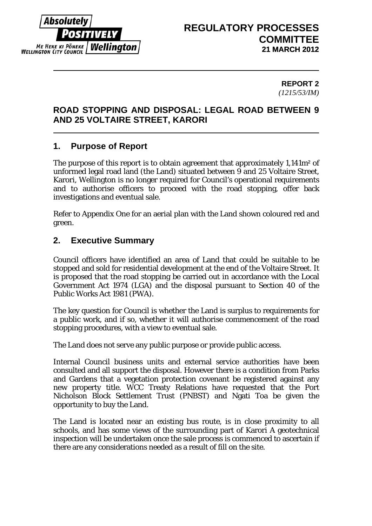

# **REGULATORY PROCESSES COMMITTEE 21 MARCH 2012**

#### **REPORT 2** *(1215/53/IM)*

# **ROAD STOPPING AND DISPOSAL: LEGAL ROAD BETWEEN 9 AND 25 VOLTAIRE STREET, KARORI**

# **1. Purpose of Report**

The purpose of this report is to obtain agreement that approximately 1,141m² of unformed legal road land (the Land) situated between 9 and 25 Voltaire Street, Karori, Wellington is no longer required for Council's operational requirements and to authorise officers to proceed with the road stopping, offer back investigations and eventual sale.

Refer to Appendix One for an aerial plan with the Land shown coloured red and green.

# **2. Executive Summary**

Council officers have identified an area of Land that could be suitable to be stopped and sold for residential development at the end of the Voltaire Street. It is proposed that the road stopping be carried out in accordance with the Local Government Act 1974 (LGA) and the disposal pursuant to Section 40 of the Public Works Act 1981 (PWA).

The key question for Council is whether the Land is surplus to requirements for a public work, and if so, whether it will authorise commencement of the road stopping procedures, with a view to eventual sale.

The Land does not serve any public purpose or provide public access.

Internal Council business units and external service authorities have been consulted and all support the disposal. However there is a condition from Parks and Gardens that a vegetation protection covenant be registered against any new property title. WCC Treaty Relations have requested that the Port Nicholson Block Settlement Trust (PNBST) and Ngati Toa be given the opportunity to buy the Land.

The Land is located near an existing bus route, is in close proximity to all schools, and has some views of the surrounding part of Karori A geotechnical inspection will be undertaken once the sale process is commenced to ascertain if there are any considerations needed as a result of fill on the site.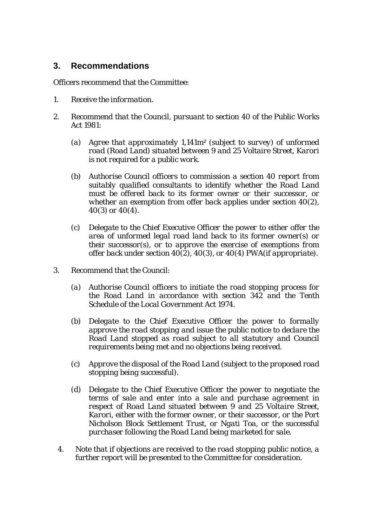## **3. Recommendations**

Officers recommend that the Committee:

- *1. Receive the information.*
- *2. Recommend that the Council, pursuant to section 40 of the Public Works Act 1981:*
	- *(a) Agree that approximately 1,141m² (subject to survey) of unformed road (Road Land) situated between 9 and 25 Voltaire Street, Karori is not required for a public work.*
	- *(b) Authorise Council officers to commission a section 40 report from suitably qualified consultants to identify whether the Road Land must be offered back to its former owner or their successor, or whether an exemption from offer back applies under section 40(2), 40(3) or 40(4).*
	- *(c) Delegate to the Chief Executive Officer the power to either offer the area of unformed legal road land back to its former owner(s) or their successor(s), or to approve the exercise of exemptions from offer back under section 40(2), 40(3), or 40(4) PWA(if appropriate).*
- *3. Recommend that the Council:* 
	- *(a) Authorise Council officers to initiate the road stopping process for the Road Land in accordance with section 342 and the Tenth Schedule of the Local Government Act 1974.*
	- *(b) Delegate to the Chief Executive Officer the power to formally approve the road stopping and issue the public notice to declare the Road Land stopped as road subject to all statutory and Council requirements being met and no objections being received.*
	- *(c) Approve the disposal of the Road Land (subject to the proposed road stopping being successful).*
	- *(d) Delegate to the Chief Executive Officer the power to negotiate the terms of sale and enter into a sale and purchase agreement in respect of Road Land situated between 9 and 25 Voltaire Street, Karori, either with the former owner, or their successor, or the Port Nicholson Block Settlement Trust, or Ngati Toa, or the successful purchaser following the Road Land being marketed for sale.*
	- *4. Note that if objections are received to the road stopping public notice, a further report will be presented to the Committee for consideration.*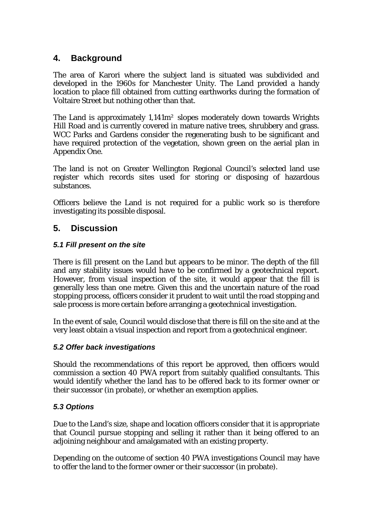## **4. Background**

The area of Karori where the subject land is situated was subdivided and developed in the 1960s for Manchester Unity. The Land provided a handy location to place fill obtained from cutting earthworks during the formation of Voltaire Street but nothing other than that.

The Land is approximately 1,141m² slopes moderately down towards Wrights Hill Road and is currently covered in mature native trees, shrubbery and grass. WCC Parks and Gardens consider the regenerating bush to be significant and have required protection of the vegetation, shown green on the aerial plan in Appendix One.

The land is not on Greater Wellington Regional Council's selected land use register which records sites used for storing or disposing of hazardous substances.

Officers believe the Land is not required for a public work so is therefore investigating its possible disposal.

## **5. Discussion**

### *5.1 Fill present on the site*

There is fill present on the Land but appears to be minor. The depth of the fill and any stability issues would have to be confirmed by a geotechnical report. However, from visual inspection of the site, it would appear that the fill is generally less than one metre. Given this and the uncertain nature of the road stopping process, officers consider it prudent to wait until the road stopping and sale process is more certain before arranging a geotechnical investigation.

In the event of sale, Council would disclose that there is fill on the site and at the very least obtain a visual inspection and report from a geotechnical engineer.

### *5.2 Offer back investigations*

Should the recommendations of this report be approved, then officers would commission a section 40 PWA report from suitably qualified consultants. This would identify whether the land has to be offered back to its former owner or their successor (in probate), or whether an exemption applies.

### *5.3 Options*

Due to the Land's size, shape and location officers consider that it is appropriate that Council pursue stopping and selling it rather than it being offered to an adjoining neighbour and amalgamated with an existing property.

Depending on the outcome of section 40 PWA investigations Council may have to offer the land to the former owner or their successor (in probate).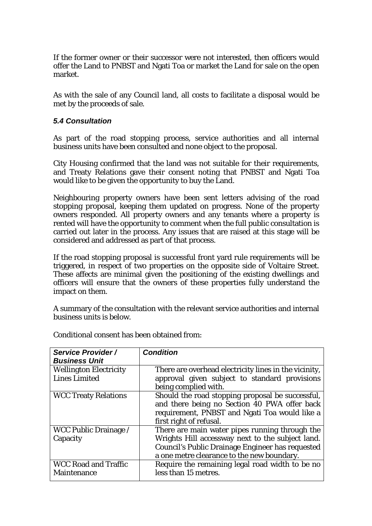If the former owner or their successor were not interested, then officers would offer the Land to PNBST and Ngati Toa or market the Land for sale on the open market.

As with the sale of any Council land, all costs to facilitate a disposal would be met by the proceeds of sale.

#### *5.4 Consultation*

As part of the road stopping process, service authorities and all internal business units have been consulted and none object to the proposal.

City Housing confirmed that the land was not suitable for their requirements, and Treaty Relations gave their consent noting that PNBST and Ngati Toa would like to be given the opportunity to buy the Land.

Neighbouring property owners have been sent letters advising of the road stopping proposal, keeping them updated on progress. None of the property owners responded. All property owners and any tenants where a property is rented will have the opportunity to comment when the full public consultation is carried out later in the process. Any issues that are raised at this stage will be considered and addressed as part of that process.

If the road stopping proposal is successful front yard rule requirements will be triggered, in respect of two properties on the opposite side of Voltaire Street. These affects are minimal given the positioning of the existing dwellings and officers will ensure that the owners of these properties fully understand the impact on them.

A summary of the consultation with the relevant service authorities and internal business units is below.

| <b>Service Provider /</b><br><b>Business Unit</b> | <b>Condition</b>                                      |
|---------------------------------------------------|-------------------------------------------------------|
|                                                   |                                                       |
| <b>Wellington Electricity</b>                     | There are overhead electricity lines in the vicinity, |
| <b>Lines Limited</b>                              | approval given subject to standard provisions         |
|                                                   | being complied with.                                  |
| <b>WCC Treaty Relations</b>                       | Should the road stopping proposal be successful,      |
|                                                   | and there being no Section 40 PWA offer back          |
|                                                   | requirement, PNBST and Ngati Toa would like a         |
|                                                   | first right of refusal.                               |
| <b>WCC Public Drainage</b> /                      | There are main water pipes running through the        |
| Capacity                                          | Wrights Hill accessway next to the subject land.      |
|                                                   | Council's Public Drainage Engineer has requested      |
|                                                   | a one metre clearance to the new boundary.            |
| <b>WCC Road and Traffic</b>                       | Require the remaining legal road width to be no       |
| Maintenance                                       | less than 15 metres.                                  |

Conditional consent has been obtained from: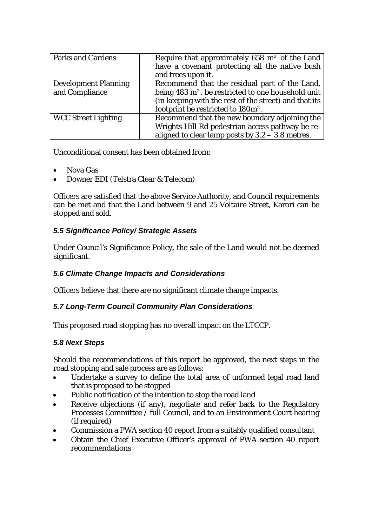| <b>Parks and Gardens</b>    | Require that approximately 658 $m2$ of the Land                |
|-----------------------------|----------------------------------------------------------------|
|                             | have a covenant protecting all the native bush                 |
|                             | and trees upon it.                                             |
| <b>Development Planning</b> | Recommend that the residual part of the Land,                  |
| and Compliance              | being 483 m <sup>2</sup> , be restricted to one household unit |
|                             | (in keeping with the rest of the street) and that its          |
|                             | footprint be restricted to 180m <sup>2</sup> .                 |
| <b>WCC Street Lighting</b>  | Recommend that the new boundary adjoining the                  |
|                             | Wrights Hill Rd pedestrian access pathway be re-               |
|                             | aligned to clear lamp posts by $3.2 - 3.8$ metres.             |

Unconditional consent has been obtained from:

- Nova Gas
- Downer EDI (Telstra Clear & Telecom)

Officers are satisfied that the above Service Authority, and Council requirements can be met and that the Land between 9 and 25 Voltaire Street, Karori can be stopped and sold.

## *5.5 Significance Policy/ Strategic Assets*

Under Council's Significance Policy, the sale of the Land would not be deemed significant.

### *5.6 Climate Change Impacts and Considerations*

Officers believe that there are no significant climate change impacts.

### *5.7 Long-Term Council Community Plan Considerations*

This proposed road stopping has no overall impact on the LTCCP.

### *5.8 Next Steps*

Should the recommendations of this report be approved, the next steps in the road stopping and sale process are as follows:

- Undertake a survey to define the total area of unformed legal road land that is proposed to be stopped
- Public notification of the intention to stop the road land
- Receive objections (if any), negotiate and refer back to the Regulatory Processes Committee / full Council, and to an Environment Court hearing (if required)
- Commission a PWA section 40 report from a suitably qualified consultant
- Obtain the Chief Executive Officer's approval of PWA section 40 report recommendations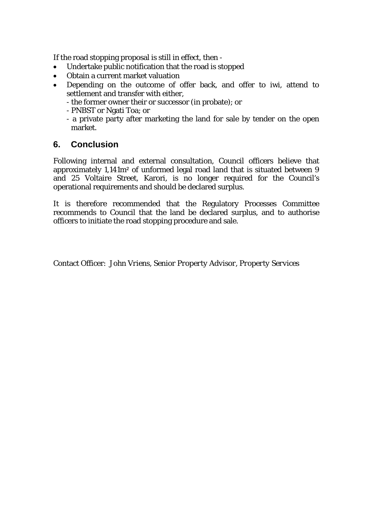If the road stopping proposal is still in effect, then -

- Undertake public notification that the road is stopped
- Obtain a current market valuation
- Depending on the outcome of offer back, and offer to iwi, attend to settlement and transfer with either,
	- the former owner their or successor (in probate); or
	- PNBST or Ngati Toa; or
	- a private party after marketing the land for sale by tender on the open market.

## **6. Conclusion**

Following internal and external consultation, Council officers believe that approximately 1,141m² of unformed legal road land that is situated between 9 and 25 Voltaire Street, Karori, is no longer required for the Council's operational requirements and should be declared surplus.

It is therefore recommended that the Regulatory Processes Committee recommends to Council that the land be declared surplus, and to authorise officers to initiate the road stopping procedure and sale.

Contact Officer: *John Vriens, Senior Property Advisor, Property Services*